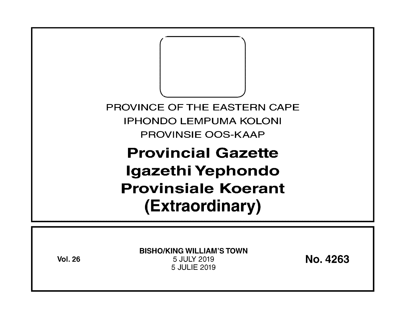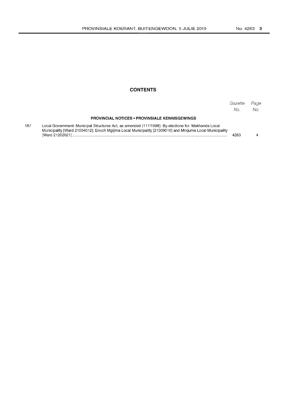## **CONTENTS**

|     |                                                                                                                                                                                                                | Gazette<br>No | Page<br>No. |
|-----|----------------------------------------------------------------------------------------------------------------------------------------------------------------------------------------------------------------|---------------|-------------|
|     | <b>PROVINCIAL NOTICES • PROVINSIALE KENNISGEWINGS</b>                                                                                                                                                          |               |             |
| 187 | Local Government: Municipal Structures Act. as amended (117/1998): By-elections for: Makhanda Local<br>Municipality [Ward 21004012]; Enoch Maijima Local Municipality [21309010] and Mnguma Local Municipality | 4263          |             |